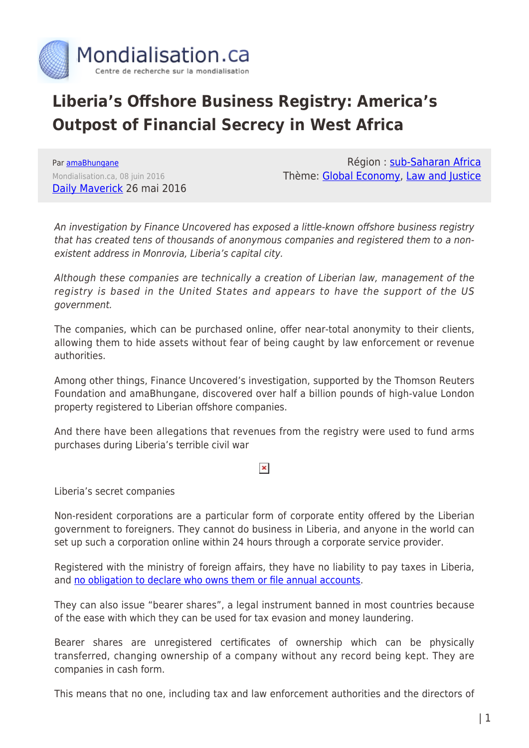

# **Liberia's Offshore Business Registry: America's Outpost of Financial Secrecy in West Africa**

Par [amaBhungane](https://www.mondialisation.ca/author/amabhungane) Mondialisation.ca, 08 juin 2016 [Daily Maverick](http://www.dailymaverick.co.za/article/2016-05-26-amabhungane-liberia-americas-outpost-of-financial-secrecy/%23.V1fNKRavu8p#.V1g0DCMrIy5) 26 mai 2016

Région : [sub-Saharan Africa](https://www.mondialisation.ca/region/sub-saharan-africa) Thème: [Global Economy,](https://www.mondialisation.ca/theme/global-economy) [Law and Justice](https://www.mondialisation.ca/theme/law-and-justice)

An investigation by Finance Uncovered has exposed a little-known offshore business registry that has created tens of thousands of anonymous companies and registered them to a nonexistent address in Monrovia, Liberia's capital city.

Although these companies are technically a creation of Liberian law, management of the registry is based in the United States and appears to have the support of the US government.

The companies, which can be purchased online, offer near-total anonymity to their clients, allowing them to hide assets without fear of being caught by law enforcement or revenue authorities.

Among other things, Finance Uncovered's investigation, supported by the Thomson Reuters Foundation and amaBhungane, discovered over half a billion pounds of high-value London property registered to Liberian offshore companies.

And there have been allegations that revenues from the registry were used to fund arms purchases during Liberia's terrible civil war

## $\pmb{\times}$

Liberia's secret companies

Non-resident corporations are a particular form of corporate entity offered by the Liberian government to foreigners. They cannot do business in Liberia, and anyone in the world can set up such a corporation online within 24 hours through a corporate service provider.

Registered with the ministry of foreign affairs, they have no liability to pay taxes in Liberia, and [no obligation to declare who owns them or file annual accounts.](http://gws-offshore.com/liberia-offshore-company/)

They can also issue "bearer shares", a legal instrument banned in most countries because of the ease with which they can be used for tax evasion and money laundering.

Bearer shares are unregistered certificates of ownership which can be physically transferred, changing ownership of a company without any record being kept. They are companies in cash form.

This means that no one, including tax and law enforcement authorities and the directors of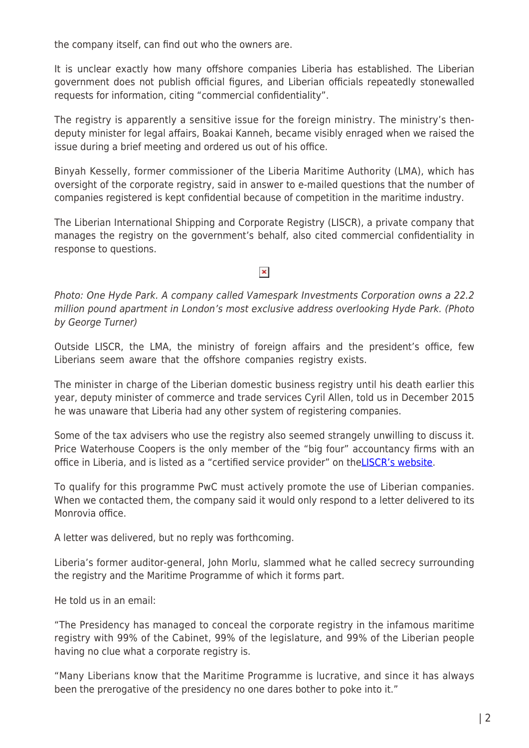the company itself, can find out who the owners are.

It is unclear exactly how many offshore companies Liberia has established. The Liberian government does not publish official figures, and Liberian officials repeatedly stonewalled requests for information, citing "commercial confidentiality".

The registry is apparently a sensitive issue for the foreign ministry. The ministry's thendeputy minister for legal affairs, Boakai Kanneh, became visibly enraged when we raised the issue during a brief meeting and ordered us out of his office.

Binyah Kesselly, former commissioner of the Liberia Maritime Authority (LMA), which has oversight of the corporate registry, said in answer to e-mailed questions that the number of companies registered is kept confidential because of competition in the maritime industry.

The Liberian International Shipping and Corporate Registry (LISCR), a private company that manages the registry on the government's behalf, also cited commercial confidentiality in response to questions.

# $\pmb{\times}$

Photo: One Hyde Park. A company called Vamespark Investments Corporation owns a 22.2 million pound apartment in London's most exclusive address overlooking Hyde Park. (Photo by George Turner)

Outside LISCR, the LMA, the ministry of foreign affairs and the president's office, few Liberians seem aware that the offshore companies registry exists.

The minister in charge of the Liberian domestic business registry until his death earlier this year, deputy minister of commerce and trade services Cyril Allen, told us in December 2015 he was unaware that Liberia had any other system of registering companies.

Some of the tax advisers who use the registry also seemed strangely unwilling to discuss it. Price Waterhouse Coopers is the only member of the "big four" accountancy firms with an office in Liberia, and is listed as a "certified service provider" on the[LISCR's website.](http://liberiancorporations.com/certified-service-providers/)

To qualify for this programme PwC must actively promote the use of Liberian companies. When we contacted them, the company said it would only respond to a letter delivered to its Monrovia office.

A letter was delivered, but no reply was forthcoming.

Liberia's former auditor-general, John Morlu, slammed what he called secrecy surrounding the registry and the Maritime Programme of which it forms part.

He told us in an email:

"The Presidency has managed to conceal the corporate registry in the infamous maritime registry with 99% of the Cabinet, 99% of the legislature, and 99% of the Liberian people having no clue what a corporate registry is.

"Many Liberians know that the Maritime Programme is lucrative, and since it has always been the prerogative of the presidency no one dares bother to poke into it."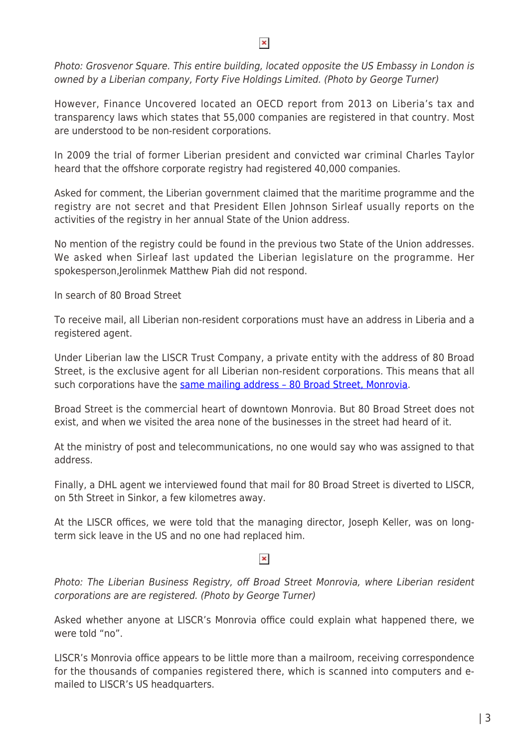#### $\pmb{\times}$

Photo: Grosvenor Square. This entire building, located opposite the US Embassy in London is owned by a Liberian company, Forty Five Holdings Limited. (Photo by George Turner)

However, Finance Uncovered located an OECD report from 2013 on Liberia's tax and transparency laws which states that 55,000 companies are registered in that country. Most are understood to be non-resident corporations.

In 2009 the trial of former Liberian president and convicted war criminal Charles Taylor heard that the offshore corporate registry had registered 40,000 companies.

Asked for comment, the Liberian government claimed that the maritime programme and the registry are not secret and that President Ellen Johnson Sirleaf usually reports on the activities of the registry in her annual State of the Union address.

No mention of the registry could be found in the previous two State of the Union addresses. We asked when Sirleaf last updated the Liberian legislature on the programme. Her spokesperson,Jerolinmek Matthew Piah did not respond.

In search of 80 Broad Street

To receive mail, all Liberian non-resident corporations must have an address in Liberia and a registered agent.

Under Liberian law the LISCR Trust Company, a private entity with the address of 80 Broad Street, is the exclusive agent for all Liberian non-resident corporations. This means that all such corporations have the same mailing address - 80 Broad Street, Monrovia.

Broad Street is the commercial heart of downtown Monrovia. But 80 Broad Street does not exist, and when we visited the area none of the businesses in the street had heard of it.

At the ministry of post and telecommunications, no one would say who was assigned to that address.

Finally, a DHL agent we interviewed found that mail for 80 Broad Street is diverted to LISCR, on 5th Street in Sinkor, a few kilometres away.

At the LISCR offices, we were told that the managing director, Joseph Keller, was on longterm sick leave in the US and no one had replaced him.

## $\pmb{\times}$

Photo: The Liberian Business Registry, off Broad Street Monrovia, where Liberian resident corporations are are registered. (Photo by George Turner)

Asked whether anyone at LISCR's Monrovia office could explain what happened there, we were told "no".

LISCR's Monrovia office appears to be little more than a mailroom, receiving correspondence for the thousands of companies registered there, which is scanned into computers and emailed to LISCR's US headquarters.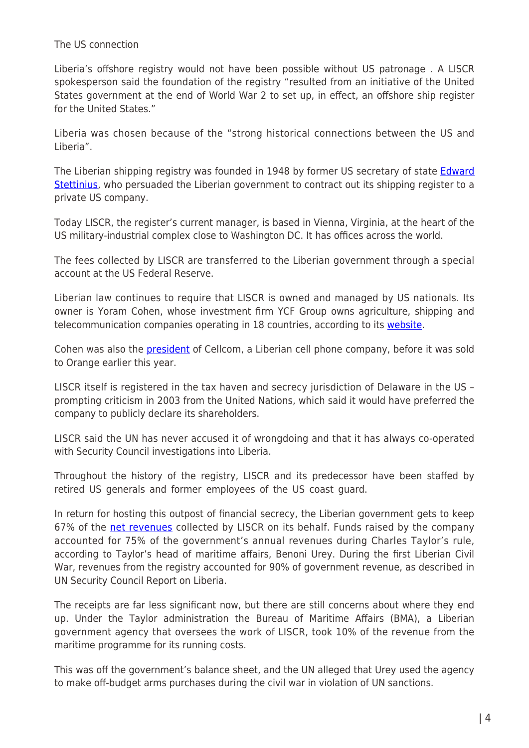### The US connection

Liberia's offshore registry would not have been possible without US patronage . A LISCR spokesperson said the foundation of the registry "resulted from an initiative of the United States government at the end of World War 2 to set up, in effect, an offshore ship register for the United States."

Liberia was chosen because of the "strong historical connections between the US and Liberia".

The Liberian shipping registry was founded in 1948 by former US secretary of state [Edward](https://en.wikipedia.org/wiki/Edward_Stettinius_Jr.) [Stettinius](https://en.wikipedia.org/wiki/Edward_Stettinius_Jr.), who persuaded the Liberian government to contract out its shipping register to a private US company.

Today LISCR, the register's current manager, is based in Vienna, Virginia, at the heart of the US military-industrial complex close to Washington DC. It has offices across the world.

The fees collected by LISCR are transferred to the Liberian government through a special account at the US Federal Reserve.

Liberian law continues to require that LISCR is owned and managed by US nationals. Its owner is Yoram Cohen, whose investment firm YCF Group owns agriculture, shipping and telecommunication companies operating in 18 countries, according to its [website](http://www.ycfgroupllc.com/%20and%20http://www.ycfmaritime.com/).

Cohen was also the **president** of Cellcom, a Liberian cell phone company, before it was sold to Orange earlier this year.

LISCR itself is registered in the tax haven and secrecy jurisdiction of Delaware in the US – prompting criticism in 2003 from the United Nations, which said it would have preferred the company to publicly declare its shareholders.

LISCR said the UN has never accused it of wrongdoing and that it has always co-operated with Security Council investigations into Liberia.

Throughout the history of the registry, LISCR and its predecessor have been staffed by retired US generals and former employees of the US coast guard.

In return for hosting this outpost of financial secrecy, the Liberian government gets to keep 67% of the [net revenues](http://liberianobserver.com/news/house-passes-liscr-15-year-deal) collected by LISCR on its behalf. Funds raised by the company accounted for 75% of the government's annual revenues during Charles Taylor's rule, according to Taylor's head of maritime affairs, Benoni Urey. During the first Liberian Civil War, revenues from the registry accounted for 90% of government revenue, as described in UN Security Council Report on Liberia.

The receipts are far less significant now, but there are still concerns about where they end up. Under the Taylor administration the Bureau of Maritime Affairs (BMA), a Liberian government agency that oversees the work of LISCR, took 10% of the revenue from the maritime programme for its running costs.

This was off the government's balance sheet, and the UN alleged that Urey used the agency to make off-budget arms purchases during the civil war in violation of UN sanctions.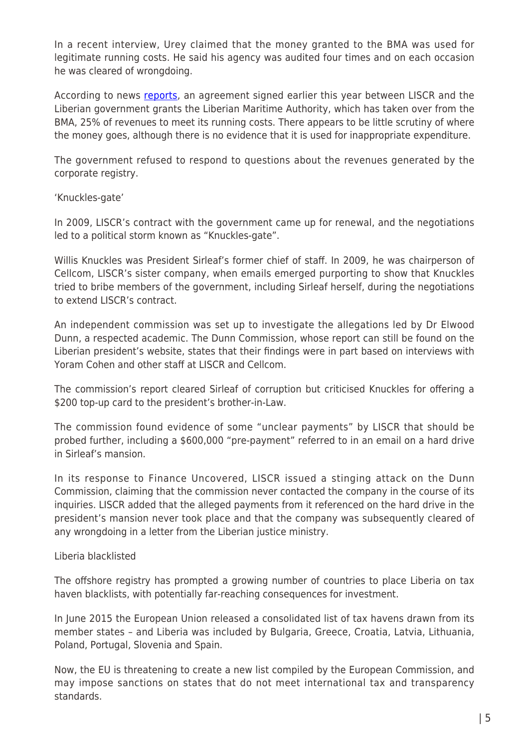In a recent interview, Urey claimed that the money granted to the BMA was used for legitimate running costs. He said his agency was audited four times and on each occasion he was cleared of wrongdoing.

According to news [reports,](http://liberianobserver.com/news/supreme-court-decide-liscr-agreement) an agreement signed earlier this year between LISCR and the Liberian government grants the Liberian Maritime Authority, which has taken over from the BMA, 25% of revenues to meet its running costs. There appears to be little scrutiny of where the money goes, although there is no evidence that it is used for inappropriate expenditure.

The government refused to respond to questions about the revenues generated by the corporate registry.

## 'Knuckles-gate'

In 2009, LISCR's contract with the government came up for renewal, and the negotiations led to a political storm known as "Knuckles-gate".

Willis Knuckles was President Sirleaf's former chief of staff. In 2009, he was chairperson of Cellcom, LISCR's sister company, when emails emerged purporting to show that Knuckles tried to bribe members of the government, including Sirleaf herself, during the negotiations to extend LISCR's contract.

An independent commission was set up to investigate the allegations led by Dr Elwood Dunn, a respected academic. The Dunn Commission, whose report can still be found on the Liberian president's website, states that their findings were in part based on interviews with Yoram Cohen and other staff at LISCR and Cellcom.

The commission's report cleared Sirleaf of corruption but criticised Knuckles for offering a \$200 top-up card to the president's brother-in-Law.

The commission found evidence of some "unclear payments" by LISCR that should be probed further, including a \$600,000 "pre-payment" referred to in an email on a hard drive in Sirleaf's mansion.

In its response to Finance Uncovered, LISCR issued a stinging attack on the Dunn Commission, claiming that the commission never contacted the company in the course of its inquiries. LISCR added that the alleged payments from it referenced on the hard drive in the president's mansion never took place and that the company was subsequently cleared of any wrongdoing in a letter from the Liberian justice ministry.

## Liberia blacklisted

The offshore registry has prompted a growing number of countries to place Liberia on tax haven blacklists, with potentially far-reaching consequences for investment.

In June 2015 the European Union released a consolidated list of tax havens drawn from its member states – and Liberia was included by Bulgaria, Greece, Croatia, Latvia, Lithuania, Poland, Portugal, Slovenia and Spain.

Now, the EU is threatening to create a new list compiled by the European Commission, and may impose sanctions on states that do not meet international tax and transparency standards.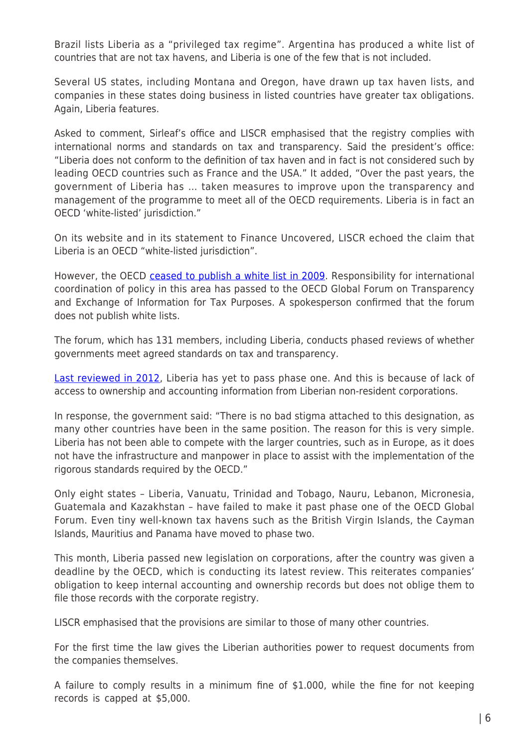Brazil lists Liberia as a "privileged tax regime". Argentina has produced a white list of countries that are not tax havens, and Liberia is one of the few that is not included.

Several US states, including Montana and Oregon, have drawn up tax haven lists, and companies in these states doing business in listed countries have greater tax obligations. Again, Liberia features.

Asked to comment, Sirleaf's office and LISCR emphasised that the registry complies with international norms and standards on tax and transparency. Said the president's office: "Liberia does not conform to the definition of tax haven and in fact is not considered such by leading OECD countries such as France and the USA." It added, "Over the past years, the government of Liberia has … taken measures to improve upon the transparency and management of the programme to meet all of the OECD requirements. Liberia is in fact an OECD 'white-listed' jurisdiction."

On its website and in its statement to Finance Uncovered, LISCR echoed the claim that Liberia is an OECD "white-listed jurisdiction".

However, the OECD [ceased to publish a white list in 2009](http://www.oecd.org/countries/monaco/listofunco-operativetaxhavens.htm). Responsibility for international coordination of policy in this area has passed to the OECD Global Forum on Transparency and Exchange of Information for Tax Purposes. A spokesperson confirmed that the forum does not publish white lists.

The forum, which has 131 members, including Liberia, conducts phased reviews of whether governments meet agreed standards on tax and transparency.

[Last reviewed in 2012,](https://www.oecd.org/tax/transparency/GFratings.pdf) Liberia has yet to pass phase one. And this is because of lack of access to ownership and accounting information from Liberian non-resident corporations.

In response, the government said: "There is no bad stigma attached to this designation, as many other countries have been in the same position. The reason for this is very simple. Liberia has not been able to compete with the larger countries, such as in Europe, as it does not have the infrastructure and manpower in place to assist with the implementation of the rigorous standards required by the OECD."

Only eight states – Liberia, Vanuatu, Trinidad and Tobago, Nauru, Lebanon, Micronesia, Guatemala and Kazakhstan – have failed to make it past phase one of the OECD Global Forum. Even tiny well-known tax havens such as the British Virgin Islands, the Cayman Islands, Mauritius and Panama have moved to phase two.

This month, Liberia passed new legislation on corporations, after the country was given a deadline by the OECD, which is conducting its latest review. This reiterates companies' obligation to keep internal accounting and ownership records but does not oblige them to file those records with the corporate registry.

LISCR emphasised that the provisions are similar to those of many other countries.

For the first time the law gives the Liberian authorities power to request documents from the companies themselves.

A failure to comply results in a minimum fine of \$1.000, while the fine for not keeping records is capped at \$5,000.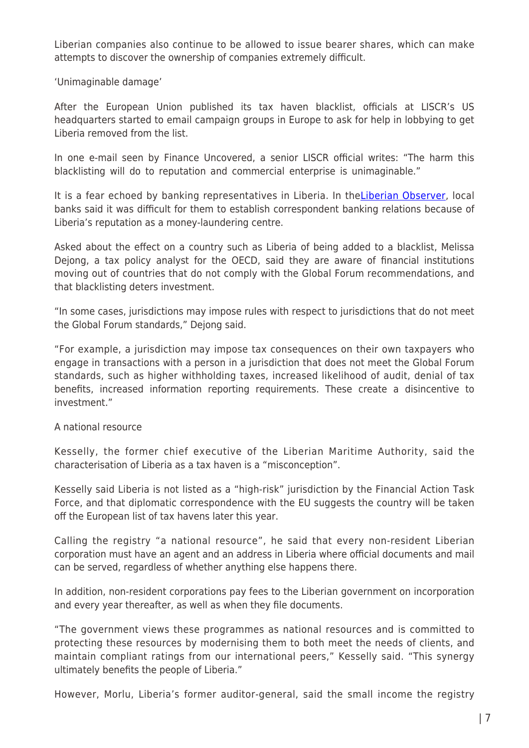Liberian companies also continue to be allowed to issue bearer shares, which can make attempts to discover the ownership of companies extremely difficult.

'Unimaginable damage'

After the European Union published its tax haven blacklist, officials at LISCR's US headquarters started to email campaign groups in Europe to ask for help in lobbying to get Liberia removed from the list.

In one e-mail seen by Finance Uncovered, a senior LISCR official writes: "The harm this blacklisting will do to reputation and commercial enterprise is unimaginable."

It is a fear echoed by banking representatives in Liberia. In the [Liberian Observer,](http://liberianobserver.com/news/liberia-fights-%E2%80%98tax-haven-blacklist%E2%80%99) local banks said it was difficult for them to establish correspondent banking relations because of Liberia's reputation as a money-laundering centre.

Asked about the effect on a country such as Liberia of being added to a blacklist, Melissa Dejong, a tax policy analyst for the OECD, said they are aware of financial institutions moving out of countries that do not comply with the Global Forum recommendations, and that blacklisting deters investment.

"In some cases, jurisdictions may impose rules with respect to jurisdictions that do not meet the Global Forum standards," Dejong said.

"For example, a jurisdiction may impose tax consequences on their own taxpayers who engage in transactions with a person in a jurisdiction that does not meet the Global Forum standards, such as higher withholding taxes, increased likelihood of audit, denial of tax benefits, increased information reporting requirements. These create a disincentive to investment."

#### A national resource

Kesselly, the former chief executive of the Liberian Maritime Authority, said the characterisation of Liberia as a tax haven is a "misconception".

Kesselly said Liberia is not listed as a "high-risk" jurisdiction by the Financial Action Task Force, and that diplomatic correspondence with the EU suggests the country will be taken off the European list of tax havens later this year.

Calling the registry "a national resource", he said that every non-resident Liberian corporation must have an agent and an address in Liberia where official documents and mail can be served, regardless of whether anything else happens there.

In addition, non-resident corporations pay fees to the Liberian government on incorporation and every year thereafter, as well as when they file documents.

"The government views these programmes as national resources and is committed to protecting these resources by modernising them to both meet the needs of clients, and maintain compliant ratings from our international peers," Kesselly said. "This synergy ultimately benefits the people of Liberia."

However, Morlu, Liberia's former auditor-general, said the small income the registry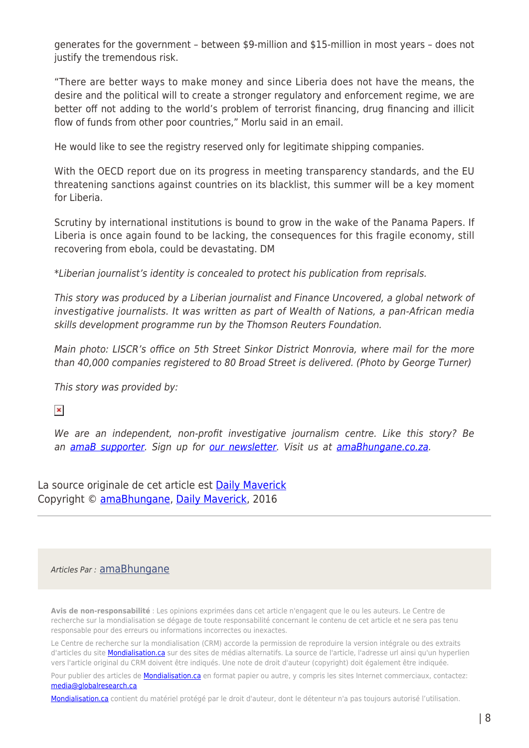generates for the government – between \$9-million and \$15-million in most years – does not justify the tremendous risk.

"There are better ways to make money and since Liberia does not have the means, the desire and the political will to create a stronger regulatory and enforcement regime, we are better off not adding to the world's problem of terrorist financing, drug financing and illicit flow of funds from other poor countries," Morlu said in an email.

He would like to see the registry reserved only for legitimate shipping companies.

With the OECD report due on its progress in meeting transparency standards, and the EU threatening sanctions against countries on its blacklist, this summer will be a key moment for Liberia.

Scrutiny by international institutions is bound to grow in the wake of the Panama Papers. If Liberia is once again found to be lacking, the consequences for this fragile economy, still recovering from ebola, could be devastating. DM

\*Liberian journalist's identity is concealed to protect his publication from reprisals.

This story was produced by a Liberian journalist and Finance Uncovered, a global network of investigative journalists. It was written as part of Wealth of Nations, a pan-African media skills development programme run by the Thomson Reuters Foundation.

Main photo: LISCR's office on 5th Street Sinkor District Monrovia, where mail for the more than 40,000 companies registered to 80 Broad Street is delivered. (Photo by George Turner)

This story was provided by:

 $\pmb{\times}$ 

We are an independent, non-profit investigative journalism centre. Like this story? Be an [amaB supporter.](https://www.givengain.com/cc/amab) Sign up for [our newsletter](http://amabhungane.co.za/newsletter). Visit us at [amaBhungane.co.za](http://amabhungane.co.za/).

La source originale de cet article est [Daily Maverick](http://www.dailymaverick.co.za/article/2016-05-26-amabhungane-liberia-americas-outpost-of-financial-secrecy/%23.V1fNKRavu8p#.V1g0DCMrIy5) Copyright © [amaBhungane,](https://www.mondialisation.ca/author/amabhungane) [Daily Maverick,](http://www.dailymaverick.co.za/article/2016-05-26-amabhungane-liberia-americas-outpost-of-financial-secrecy/%23.V1fNKRavu8p#.V1g0DCMrIy5) 2016

#### Articles Par : [amaBhungane](https://www.mondialisation.ca/author/amabhungane)

**Avis de non-responsabilité** : Les opinions exprimées dans cet article n'engagent que le ou les auteurs. Le Centre de recherche sur la mondialisation se dégage de toute responsabilité concernant le contenu de cet article et ne sera pas tenu responsable pour des erreurs ou informations incorrectes ou inexactes.

Le Centre de recherche sur la mondialisation (CRM) accorde la permission de reproduire la version intégrale ou des extraits d'articles du site **Mondialisation.ca** sur des sites de médias alternatifs. La source de l'article, l'adresse url ainsi qu'un hyperlien vers l'article original du CRM doivent être indiqués. Une note de droit d'auteur (copyright) doit également être indiquée.

Pour publier des articles de **[Mondialisation.ca](https://mondialisation.ca)** en format papier ou autre, y compris les sites Internet commerciaux, contactez: [media@globalresearch.ca](mailto:media@globalresearch.ca)

[Mondialisation.ca](https://mondialisation.ca) contient du matériel protégé par le droit d'auteur, dont le détenteur n'a pas toujours autorisé l'utilisation.